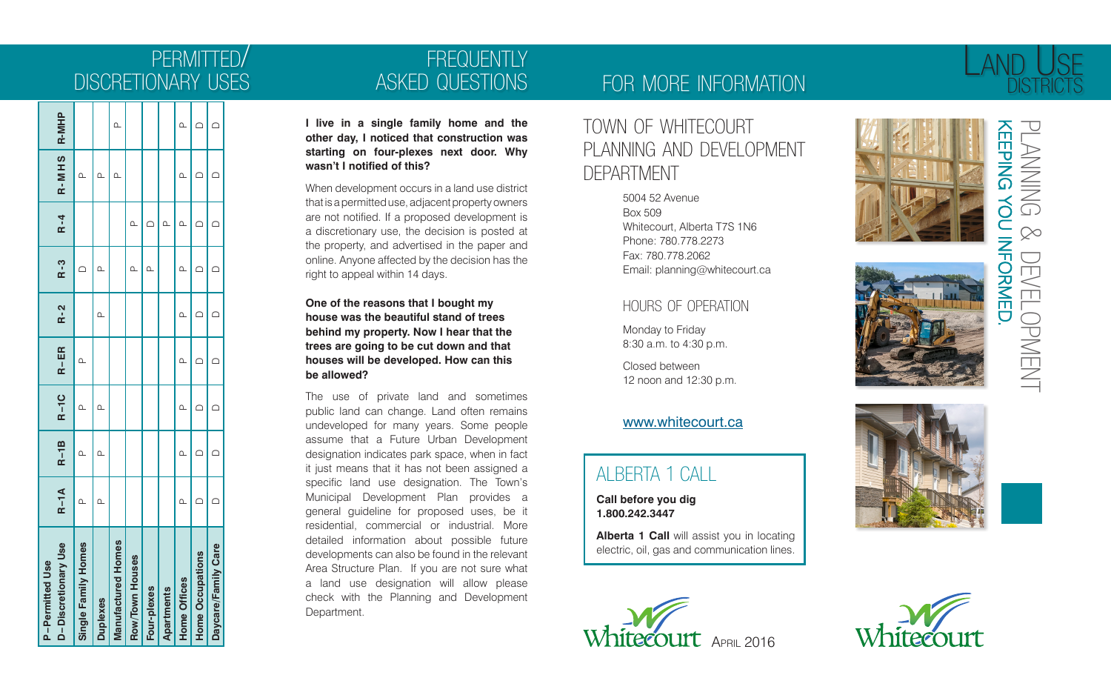# permitted / discretionary uses

| D-Discretionary Use<br><b>P-Permitted Use</b> | $R-1A$   | $R-1B$   | $R-1C$   $R-ER$ |           | $R - 2$   | $R - 3$    | $R - 4$  | R-MHS R-MHP |          |
|-----------------------------------------------|----------|----------|-----------------|-----------|-----------|------------|----------|-------------|----------|
| Single Family Homes                           | Δ        | $\Omega$ | മ               | $\Omega$  |           |            |          | മ           |          |
| <b>Duplexes</b>                               | $\Omega$ | $\Omega$ | $\Omega$        |           | $\Omega$  | $\alpha$   |          | $\Omega$    |          |
| <b>Manufactured Homes</b>                     |          |          |                 |           |           |            |          | $\alpha$    | $\Omega$ |
| Row/Town Houses                               |          |          |                 |           |           | $\alpha$   | Δ.       |             |          |
| Four-plexes                                   |          |          |                 |           |           | $\Omega$   | Ċ        |             |          |
| <b>Apartments</b>                             |          |          |                 |           |           |            | $\alpha$ |             |          |
| <b>Home Offices</b>                           | $\Omega$ | $\alpha$ | മ               | $\alpha$  | $\Omega$  | $\alpha$   | മ        | $\Omega$    | $\Omega$ |
| <b>Home Occupations</b>                       |          | $\Box$   | ≏               | ≏         |           |            |          |             | ◠        |
| Daycare/Family Care                           | ≏        | ≏        | $\bigcap$       | $\bigcap$ | $\bigcap$ | $\bigcirc$ | ≏        |             | $\Box$   |

# **FREQUENTLY** asked questions

**I live in a single family home and the other day, I noticed that construction was starting on four-plexes next door. Why wasn't I notified of this?**

When development occurs in a land use district that is a permitted use, adjacent property owners are not notified. If a proposed development is a discretionary use, the decision is posted at the property, and advertised in the paper and online. Anyone affected by the decision has the right to appeal within 14 days.

**One of the reasons that I bought my house was the beautiful stand of trees behind my property. Now I hear that the trees are going to be cut down and that houses will be developed. How can this be allowed?**

The use of private land and sometimes public land can change. Land often remains undeveloped for many years. Some people assume that a Future Urban Development designation indicates park space, when in fact it just means that it has not been assigned a specific land use designation. The Town's Municipal Development Plan provides a general guideline for proposed uses, be it residential, commercial or industrial. More detailed information about possible future developments can also be found in the relevant Area Structure Plan. If you are not sure what a land use designation will allow please check with the Planning and Development Department.

## for more information

## town of whitecourt planning and development **DEPARTMENT**

5004 52 Avenue Box 509 Whitecourt, Alberta T7S 1N6 Phone: 780.778.2273 Fax: 780.778.2062 Email: planning@whitecourt.ca

## hours of operation

Monday to Friday 8:30 a.m. to 4:30 p.m.

Closed between 12 noon and 12:30 p.m.

### www.whitecourt.ca

## alberta 1 call

**Call before you dig 1.800.242.3447**

**Alberta 1 Call** will assist you in locating electric, oil, gas and communication lines.











# LAND U<sub>SE</sub> **DISTRICTS** KEEPING keeping you informed. planning

 $\infty$ 

 $\operatorname{\mathsf{\geq}}$  $\subset$ 

development

EVELOPMENT